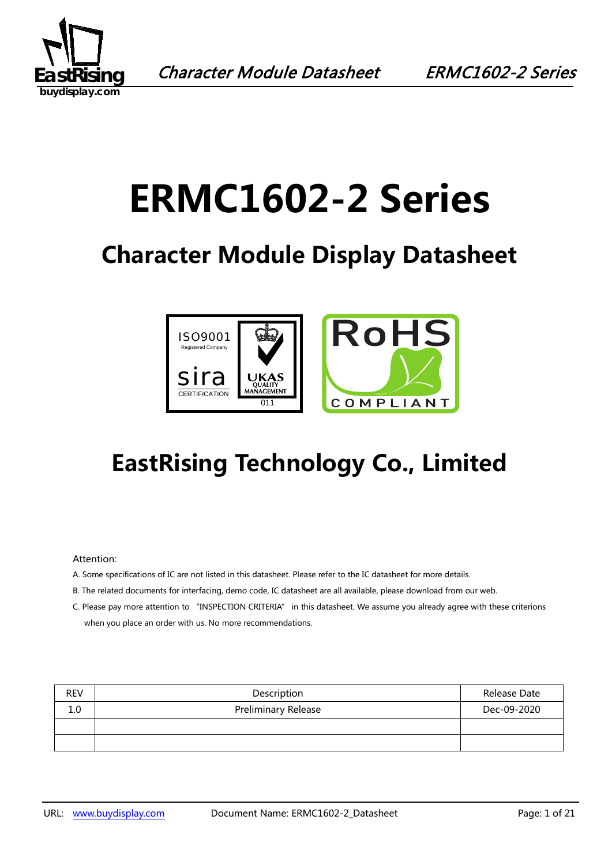

# **ERMC1602-2 Series**

## **Character Module Display Datasheet**



## **EastRising Technology Co., Limited**

#### Attention:

- A. Some specifications of IC are not listed in this datasheet. Please refer to the IC datasheet for more details.
- B. The related documents for interfacing, demo code, IC datasheet are all available, please download from our web.
- C. Please pay more attention to "INSPECTION CRITERIA" in this datasheet. We assume you already agree with these criterions when you place an order with us. No more recommendations.

| <b>REV</b> | Description                | Release Date |
|------------|----------------------------|--------------|
| 1.0        | <b>Preliminary Release</b> | Dec-09-2020  |
|            |                            |              |
|            |                            |              |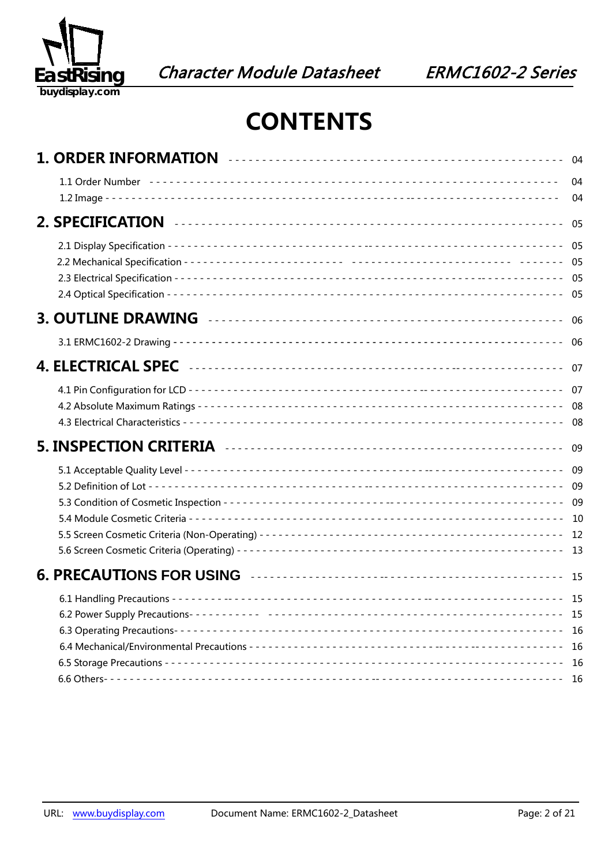

### **CONTENTS**

|  | 04                 |
|--|--------------------|
|  | 04                 |
|  | 05                 |
|  |                    |
|  | - 06               |
|  | 06                 |
|  | 07                 |
|  |                    |
|  |                    |
|  |                    |
|  |                    |
|  | - 15<br>16<br>- 16 |
|  |                    |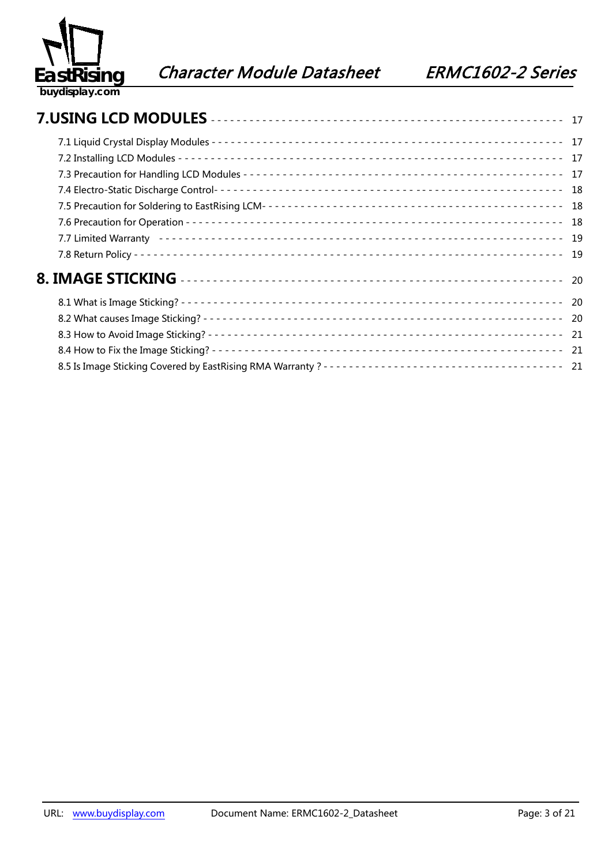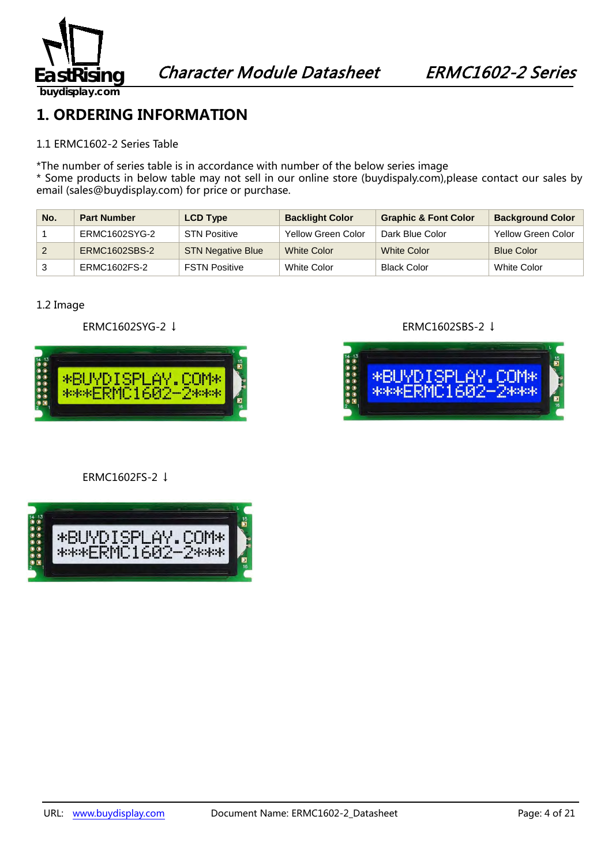

### **1. ORDERING INFORMATION**

#### 1.1 ERMC1602-2 Series Table

\*The number of series table is in accordance with number of the below series image

\* Some products in below table may not sell in our online store (buydispaly.com),please contact our sales by email (sales@buydisplay.com) for price or purchase.

| No. | <b>Part Number</b> | <b>LCD Type</b>          | <b>Backlight Color</b> | <b>Graphic &amp; Font Color</b> | <b>Background Color</b> |
|-----|--------------------|--------------------------|------------------------|---------------------------------|-------------------------|
|     | ERMC1602SYG-2      | <b>STN Positive</b>      | Yellow Green Color     | Dark Blue Color                 | Yellow Green Color      |
|     | ERMC1602SBS-2      | <b>STN Negative Blue</b> | <b>White Color</b>     | <b>White Color</b>              | <b>Blue Color</b>       |
|     | ERMC1602FS-2       | <b>FSTN Positive</b>     | White Color            | <b>Black Color</b>              | White Color             |

#### 1.2 Image



#### ERMC1602FS-2 ↓



#### ERMC1602SYG-2 ↓ ERMC1602SBS-2 ↓

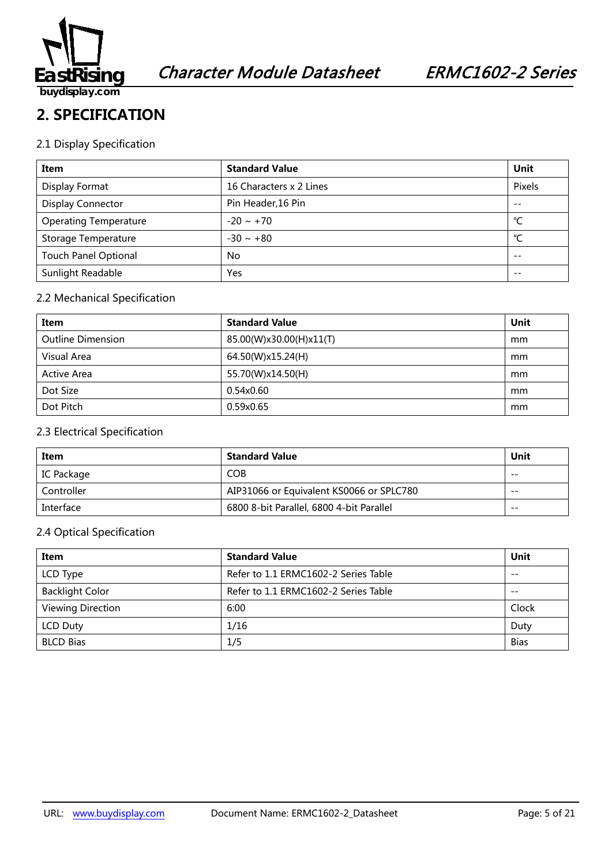

#### **2. SPECIFICATION**

#### 2.1 Display Specification

| Item                         | <b>Standard Value</b>   | Unit   |
|------------------------------|-------------------------|--------|
| Display Format               | 16 Characters x 2 Lines | Pixels |
| <b>Display Connector</b>     | Pin Header, 16 Pin      | $- -$  |
| <b>Operating Temperature</b> | $-20 \sim +70$          | °C     |
| Storage Temperature          | $-30 \sim +80$          | °C     |
| <b>Touch Panel Optional</b>  | No                      | $- -$  |
| Sunlight Readable            | Yes                     |        |

#### 2.2 Mechanical Specification

| Item                     | <b>Standard Value</b>   | Unit |
|--------------------------|-------------------------|------|
| <b>Outline Dimension</b> | 85.00(W)x30.00(H)x11(T) | mm   |
| Visual Area              | 64.50(W)x15.24(H)       | mm   |
| Active Area              | 55.70(W)x14.50(H)       | mm   |
| Dot Size                 | 0.54x0.60               | mm   |
| Dot Pitch                | 0.59x0.65               | mm   |

#### 2.3 Electrical Specification

| Item       | <b>Standard Value</b>                    | Unit  |
|------------|------------------------------------------|-------|
| IC Package | <b>COB</b>                               | $- -$ |
| Controller | AIP31066 or Equivalent KS0066 or SPLC780 | $- -$ |
| Interface  | 6800 8-bit Parallel, 6800 4-bit Parallel | $- -$ |

#### 2.4 Optical Specification

| Item                     | <b>Standard Value</b>                | Unit        |
|--------------------------|--------------------------------------|-------------|
| LCD Type                 | Refer to 1.1 ERMC1602-2 Series Table | $- -$       |
| <b>Backlight Color</b>   | Refer to 1.1 ERMC1602-2 Series Table | $- -$       |
| <b>Viewing Direction</b> | 6:00                                 | Clock       |
| <b>LCD Duty</b>          | 1/16                                 | Duty        |
| <b>BLCD Bias</b>         | 1/5                                  | <b>Bias</b> |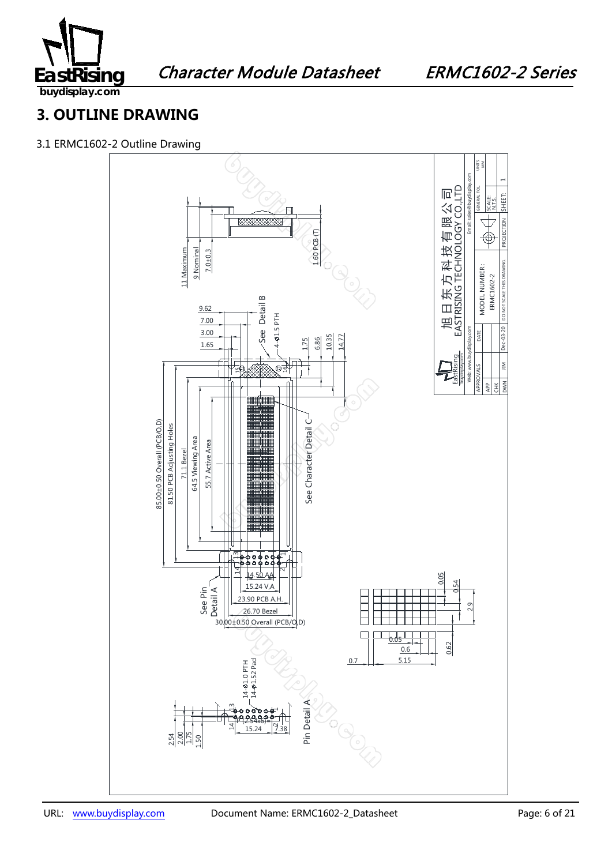

Character Module Datasheet ERMC1602-2 Series

**3. OUTLINE DRAWING**

3.1 ERMC1602-2 Outline Drawing

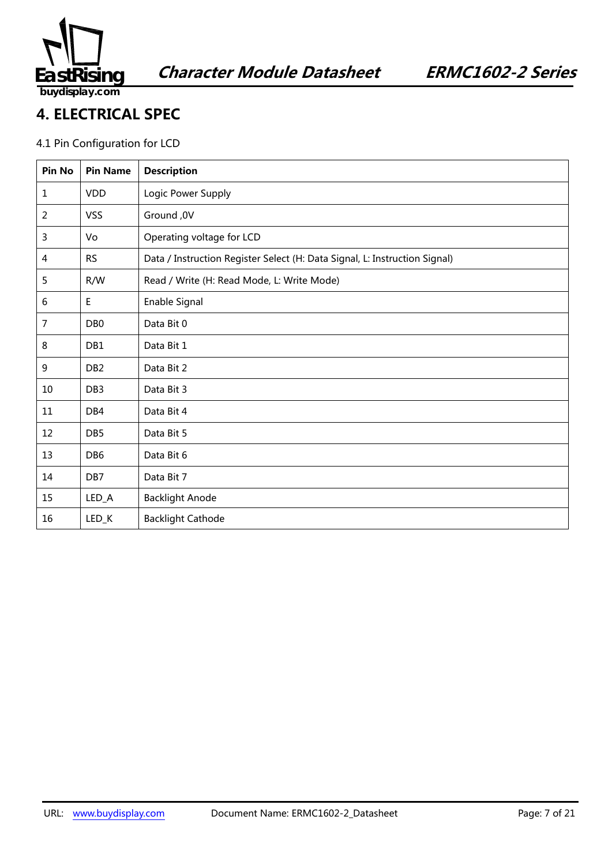

#### **4. ELECTRICAL SPEC**

#### 4.1 Pin Configuration for LCD

| Pin No | <b>Pin Name</b> | <b>Description</b>                                                         |
|--------|-----------------|----------------------------------------------------------------------------|
| 1      | <b>VDD</b>      | Logic Power Supply                                                         |
| 2      | <b>VSS</b>      | Ground, 0V                                                                 |
| 3      | Vo              | Operating voltage for LCD                                                  |
| 4      | <b>RS</b>       | Data / Instruction Register Select (H: Data Signal, L: Instruction Signal) |
| 5      | R/W             | Read / Write (H: Read Mode, L: Write Mode)                                 |
| 6      | $\mathsf E$     | Enable Signal                                                              |
| 7      | DB <sub>0</sub> | Data Bit 0                                                                 |
| 8      | DB1             | Data Bit 1                                                                 |
| 9      | DB <sub>2</sub> | Data Bit 2                                                                 |
| 10     | DB <sub>3</sub> | Data Bit 3                                                                 |
| 11     | DB4             | Data Bit 4                                                                 |
| 12     | DB <sub>5</sub> | Data Bit 5                                                                 |
| 13     | DB <sub>6</sub> | Data Bit 6                                                                 |
| 14     | DB7             | Data Bit 7                                                                 |
| 15     | $LED_A$         | <b>Backlight Anode</b>                                                     |
| 16     | LED_K           | <b>Backlight Cathode</b>                                                   |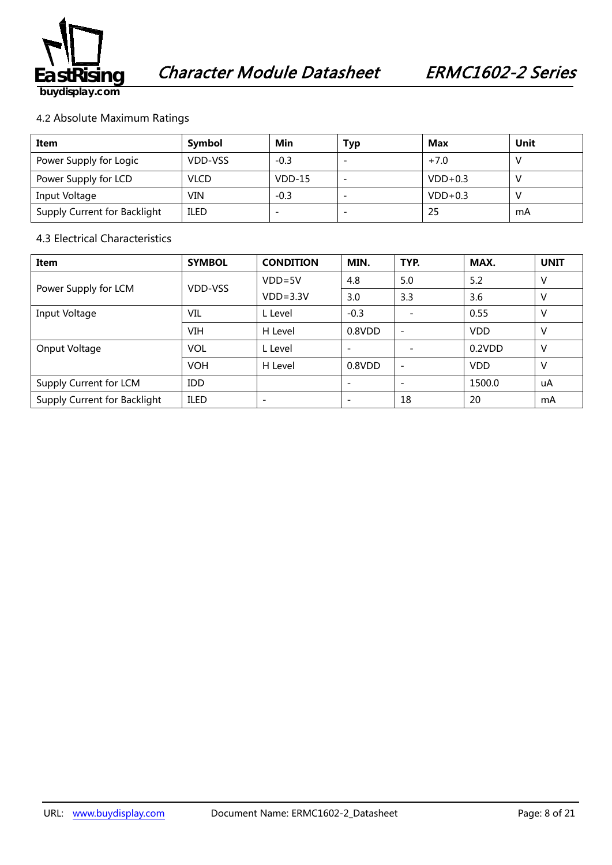

#### 4.2 Absolute Maximum Ratings

| Item                         | Symbol      | Min      | Typ | Max       | Unit |
|------------------------------|-------------|----------|-----|-----------|------|
| Power Supply for Logic       | VDD-VSS     | $-0.3$   |     | $+7.0$    |      |
| Power Supply for LCD         | <b>VLCD</b> | $VDD-15$ |     | $VDD+0.3$ |      |
| Input Voltage                | VIN         | $-0.3$   |     | $VDD+0.3$ |      |
| Supply Current for Backlight | <b>ILED</b> |          |     | 25        | mA   |

#### 4.3 Electrical Characteristics

| Item                         | <b>SYMBOL</b> | <b>CONDITION</b> | MIN.                     | TYP.                     | MAX.       | <b>UNIT</b> |
|------------------------------|---------------|------------------|--------------------------|--------------------------|------------|-------------|
|                              | VDD-VSS       | $VDD = 5V$       | 4.8                      | 5.0                      | 5.2        | v           |
| Power Supply for LCM         |               | $VDD=3.3V$       | 3.0                      | 3.3                      | 3.6        | v           |
| Input Voltage                | VIL           | L Level          | $-0.3$                   |                          | 0.55       | v           |
|                              | <b>VIH</b>    | H Level          | 0.8VDD                   | $\overline{\phantom{a}}$ | <b>VDD</b> | v           |
| Onput Voltage                | <b>VOL</b>    | L Level          | $\overline{\phantom{0}}$ |                          | 0.2VDD     | ۷           |
|                              | <b>VOH</b>    | H Level          | 0.8VDD                   | $\overline{\phantom{a}}$ | <b>VDD</b> | v           |
| Supply Current for LCM       | <b>IDD</b>    |                  |                          |                          | 1500.0     | uA          |
| Supply Current for Backlight | <b>ILED</b>   |                  |                          | 18                       | 20         | mA          |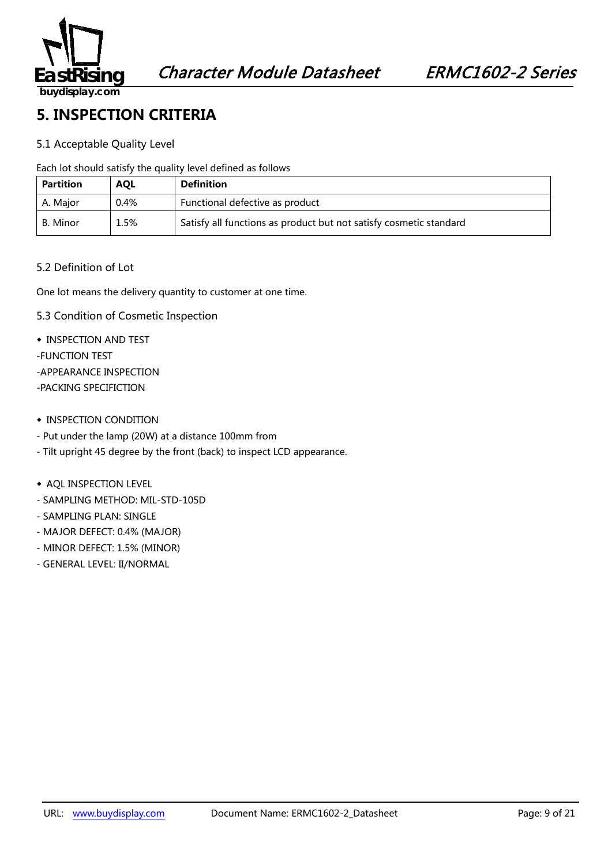

#### **5. INSPECTION CRITERIA**

#### 5.1 Acceptable Quality Level

Each lot should satisfy the quality level defined as follows

| <b>Partition</b> | <b>AOL</b> | <b>Definition</b>                                                  |  |  |  |
|------------------|------------|--------------------------------------------------------------------|--|--|--|
| A. Major         | 0.4%       | Functional defective as product                                    |  |  |  |
| B. Minor         | 1.5%       | Satisfy all functions as product but not satisfy cosmetic standard |  |  |  |

#### 5.2 Definition of Lot

One lot means the delivery quantity to customer at one time.

- 5.3 Condition of Cosmetic Inspection
- ◆ INSPECTION AND TEST
- -FUNCTION TEST
- -APPEARANCE INSPECTION
- -PACKING SPECIFICTION
- ◆ INSPECTION CONDITION
- Put under the lamp (20W) at a distance 100mm from
- Tilt upright 45 degree by the front (back) to inspect LCD appearance.
- ◆ AQL INSPECTION LEVEL
- SAMPLING METHOD: MIL-STD-105D
- SAMPLING PLAN: SINGLE
- MAJOR DEFECT: 0.4% (MAJOR)
- MINOR DEFECT: 1.5% (MINOR)
- GENERAL LEVEL: II/NORMAL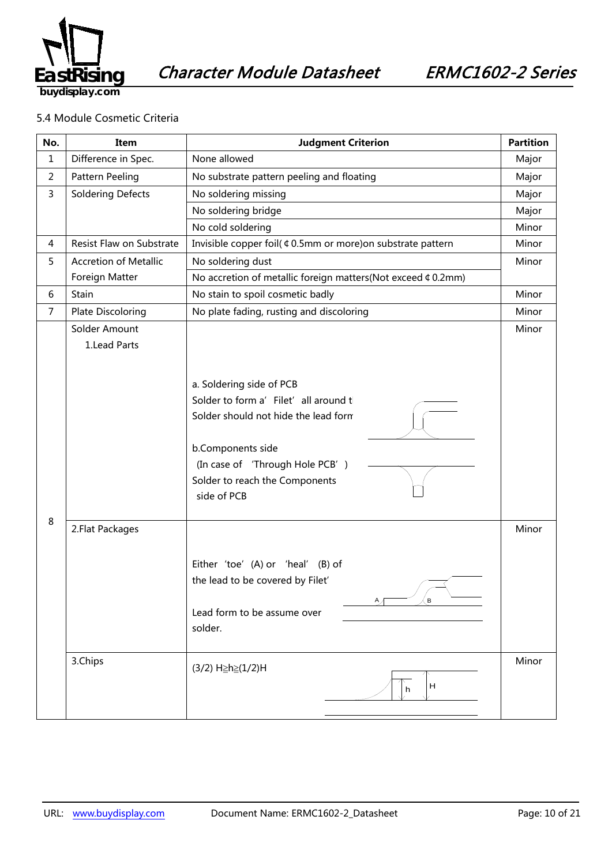

#### 5.4 Module Cosmetic Criteria

| No.            | Item                          | <b>Judgment Criterion</b>                                                                                                                                                                                          |                |
|----------------|-------------------------------|--------------------------------------------------------------------------------------------------------------------------------------------------------------------------------------------------------------------|----------------|
| 1              | Difference in Spec.           | None allowed                                                                                                                                                                                                       | Major          |
| $\overline{2}$ | Pattern Peeling               | No substrate pattern peeling and floating                                                                                                                                                                          | Major          |
| $\mathsf{3}$   | <b>Soldering Defects</b>      | No soldering missing                                                                                                                                                                                               | Major          |
|                |                               | No soldering bridge                                                                                                                                                                                                | Major          |
|                |                               | No cold soldering                                                                                                                                                                                                  | Minor          |
| 4              | Resist Flaw on Substrate      | Invisible copper foil( ¢ 0.5mm or more) on substrate pattern                                                                                                                                                       | Minor          |
| 5              | <b>Accretion of Metallic</b>  | No soldering dust                                                                                                                                                                                                  | Minor          |
|                | Foreign Matter                | No accretion of metallic foreign matters(Not exceed ¢ 0.2mm)                                                                                                                                                       |                |
| 6              | Stain                         | No stain to spoil cosmetic badly                                                                                                                                                                                   | Minor          |
| 7              | Plate Discoloring             | No plate fading, rusting and discoloring                                                                                                                                                                           | Minor          |
| 8              | Solder Amount<br>1.Lead Parts | a. Soldering side of PCB<br>Solder to form a' Filet' all around t<br>Solder should not hide the lead form<br>b.Components side<br>(In case of 'Through Hole PCB')<br>Solder to reach the Components<br>side of PCB | Minor          |
|                | 2. Flat Packages<br>3.Chips   | Either 'toe' (A) or 'heal' (B) of<br>the lead to be covered by Filet'<br>$\mathbf{B}$<br>Lead form to be assume over<br>solder.<br>(3/2) H≥h≥(1/2)H<br>H<br>h                                                      | Minor<br>Minor |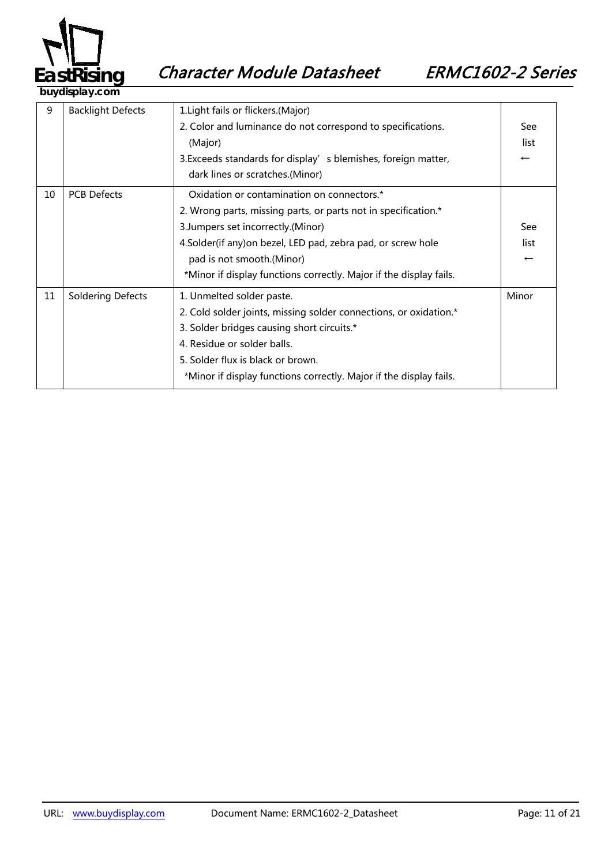

9 | Backlight Defects | 1.Light fails or flickers.(Major) 2. Color and luminance do not correspond to specifications. (Major) 3. Exceeds standards for display's blemishes, foreign matter, dark lines or scratches.(Minor) See list ← 10 | PCB Defects | Oxidation or contamination on connectors.\* 2. Wrong parts, missing parts, or parts not in specification.\* 3.Jumpers set incorrectly.(Minor) 4.Solder(if any)on bezel, LED pad, zebra pad, or screw hole pad is not smooth.(Minor) \*Minor if display functions correctly. Major if the display fails. See list ← 11 | Soldering Defects | 1. Unmelted solder paste. 2. Cold solder joints, missing solder connections, or oxidation.\* 3. Solder bridges causing short circuits.\* 4. Residue or solder balls. 5. Solder flux is black or brown. \*Minor if display functions correctly. Major if the display fails. Minor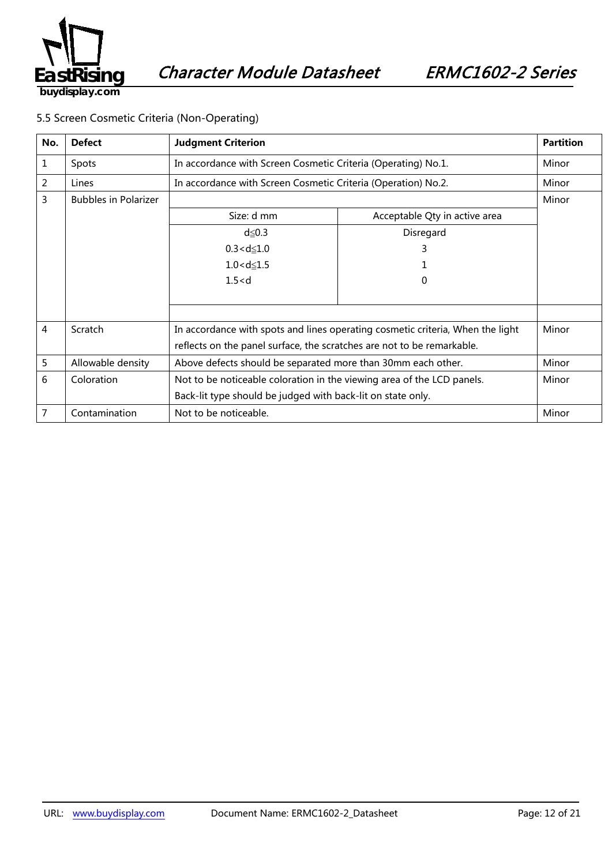

#### 5.5 Screen Cosmetic Criteria (Non-Operating)

| No. | <b>Defect</b>               | <b>Judgment Criterion</b>                                                      |                               | <b>Partition</b> |
|-----|-----------------------------|--------------------------------------------------------------------------------|-------------------------------|------------------|
| 1   | Spots                       | In accordance with Screen Cosmetic Criteria (Operating) No.1.                  |                               | Minor            |
| 2   | Lines                       | In accordance with Screen Cosmetic Criteria (Operation) No.2.                  |                               | Minor            |
| 3   | <b>Bubbles in Polarizer</b> |                                                                                |                               | Minor            |
|     |                             | Size: d mm                                                                     | Acceptable Qty in active area |                  |
|     |                             | $d \leq 0.3$                                                                   | Disregard                     |                  |
|     |                             | $0.3 < d \leq 1.0$                                                             | 3                             |                  |
|     |                             | $1.0 < d \le 1.5$                                                              |                               |                  |
|     |                             | 1.5 < d                                                                        | 0                             |                  |
|     |                             |                                                                                |                               |                  |
|     |                             |                                                                                |                               |                  |
| 4   | Scratch                     | In accordance with spots and lines operating cosmetic criteria, When the light |                               | Minor            |
|     |                             | reflects on the panel surface, the scratches are not to be remarkable.         |                               |                  |
| 5   | Allowable density           | Above defects should be separated more than 30mm each other.                   |                               | Minor            |
| 6   | Coloration                  | Not to be noticeable coloration in the viewing area of the LCD panels.         |                               | Minor            |
|     |                             | Back-lit type should be judged with back-lit on state only.                    |                               |                  |
| 7   | Contamination               | Not to be noticeable.                                                          |                               | Minor            |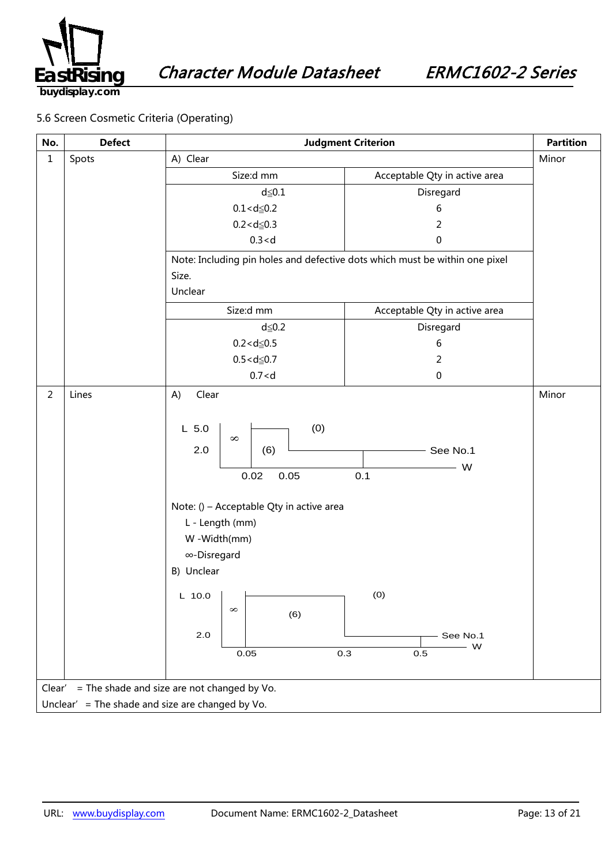

#### 5.6 Screen Cosmetic Criteria (Operating)

| No.                                                   | <b>Defect</b> | <b>Judgment Criterion</b>                                                                                                                                                          |                                        | <b>Partition</b> |  |  |
|-------------------------------------------------------|---------------|------------------------------------------------------------------------------------------------------------------------------------------------------------------------------------|----------------------------------------|------------------|--|--|
| $\mathbf 1$                                           | Spots         | A) Clear                                                                                                                                                                           |                                        | Minor            |  |  |
|                                                       |               | Size:d mm                                                                                                                                                                          | Acceptable Qty in active area          |                  |  |  |
|                                                       |               | $d \leq 0.1$                                                                                                                                                                       | Disregard                              |                  |  |  |
|                                                       |               | $0.1 < d \le 0.2$                                                                                                                                                                  | 6                                      |                  |  |  |
|                                                       |               | $0.2 < d \le 0.3$                                                                                                                                                                  | $\overline{2}$                         |                  |  |  |
|                                                       |               | 0.3 < d                                                                                                                                                                            | 0                                      |                  |  |  |
|                                                       |               | Note: Including pin holes and defective dots which must be within one pixel                                                                                                        |                                        |                  |  |  |
|                                                       |               | Size.                                                                                                                                                                              |                                        |                  |  |  |
|                                                       |               | Unclear                                                                                                                                                                            |                                        |                  |  |  |
|                                                       |               | Size:d mm                                                                                                                                                                          | Acceptable Qty in active area          |                  |  |  |
|                                                       |               | $d \leq 0.2$                                                                                                                                                                       | Disregard                              |                  |  |  |
|                                                       |               | $0.2 < d \le 0.5$                                                                                                                                                                  | 6                                      |                  |  |  |
|                                                       |               | $0.5 < d \le 0.7$                                                                                                                                                                  | $\overline{2}$                         |                  |  |  |
|                                                       |               | 0.7 < d                                                                                                                                                                            | $\pmb{0}$                              |                  |  |  |
| $\overline{2}$                                        | Lines         | Clear<br>A)<br>(0)<br>$L$ 5.0<br>$\infty$<br>2.0<br>(6)<br>0.05<br>0.02<br>Note: () - Acceptable Qty in active area<br>L - Length (mm)<br>W-Width(mm)<br>∞-Disregard<br>B) Unclear | See No.1<br>W<br>0.1                   | Minor            |  |  |
|                                                       |               | L 10.0 $\vert$ $\vert$<br>$\infty$<br>(6)<br>$2.0\,$<br>0.05                                                                                                                       | (0)<br>See No.1<br>$-$ W<br>0.3<br>0.5 |                  |  |  |
| = The shade and size are not changed by Vo.<br>Clear' |               |                                                                                                                                                                                    |                                        |                  |  |  |
| Unclear' = The shade and size are changed by Vo.      |               |                                                                                                                                                                                    |                                        |                  |  |  |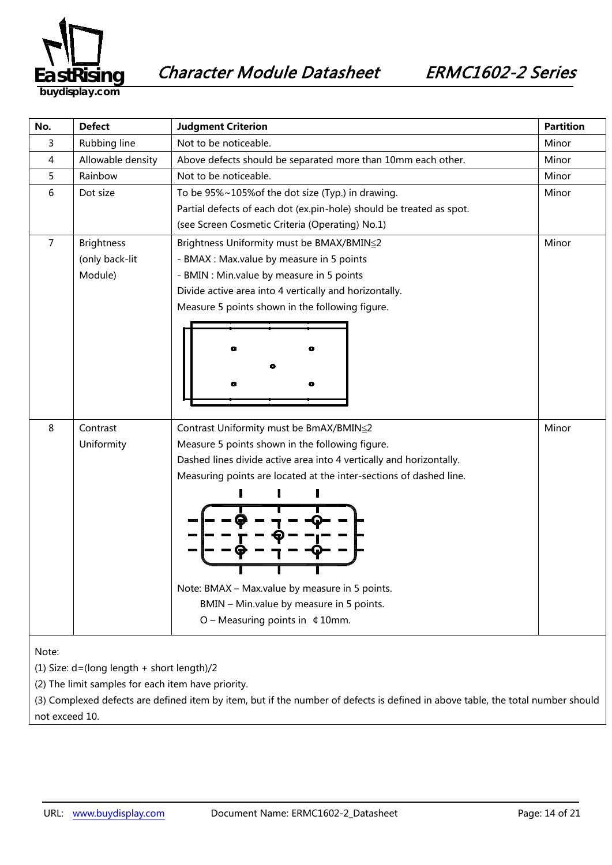

Character Module Datasheet ERMC1602-2 Series

**buydisplay.com**

| No.                                            | <b>Defect</b>     | <b>Judgment Criterion</b>                                            | <b>Partition</b> |  |
|------------------------------------------------|-------------------|----------------------------------------------------------------------|------------------|--|
| 3                                              | Rubbing line      | Not to be noticeable.                                                | Minor            |  |
| 4                                              | Allowable density | Above defects should be separated more than 10mm each other.         | Minor            |  |
| 5                                              | Rainbow           | Not to be noticeable.                                                |                  |  |
| 6                                              | Dot size          | To be 95%~105% of the dot size (Typ.) in drawing.                    |                  |  |
|                                                |                   | Partial defects of each dot (ex.pin-hole) should be treated as spot. |                  |  |
|                                                |                   | (see Screen Cosmetic Criteria (Operating) No.1)                      |                  |  |
| 7                                              | <b>Brightness</b> | Brightness Uniformity must be BMAX/BMIN≦2                            | Minor            |  |
|                                                | (only back-lit    | - BMAX : Max.value by measure in 5 points                            |                  |  |
|                                                | Module)           | - BMIN : Min.value by measure in 5 points                            |                  |  |
|                                                |                   | Divide active area into 4 vertically and horizontally.               |                  |  |
|                                                |                   | Measure 5 points shown in the following figure.                      |                  |  |
|                                                |                   |                                                                      |                  |  |
|                                                |                   |                                                                      |                  |  |
|                                                |                   |                                                                      |                  |  |
|                                                |                   |                                                                      |                  |  |
|                                                |                   |                                                                      |                  |  |
|                                                |                   |                                                                      |                  |  |
| 8                                              | Contrast          | Contrast Uniformity must be BmAX/BMIN≦2                              | Minor            |  |
|                                                | Uniformity        | Measure 5 points shown in the following figure.                      |                  |  |
|                                                |                   | Dashed lines divide active area into 4 vertically and horizontally.  |                  |  |
|                                                |                   | Measuring points are located at the inter-sections of dashed line.   |                  |  |
|                                                |                   |                                                                      |                  |  |
|                                                |                   |                                                                      |                  |  |
|                                                |                   |                                                                      |                  |  |
|                                                |                   |                                                                      |                  |  |
|                                                |                   |                                                                      |                  |  |
|                                                |                   |                                                                      |                  |  |
|                                                |                   | Note: BMAX - Max.value by measure in 5 points.                       |                  |  |
|                                                |                   | BMIN - Min.value by measure in 5 points.                             |                  |  |
|                                                |                   | $O$ – Measuring points in $\text{\&}$ 10mm.                          |                  |  |
|                                                |                   |                                                                      |                  |  |
| Note:                                          |                   |                                                                      |                  |  |
| (1) Size: $d = (long length + short length)/2$ |                   |                                                                      |                  |  |

(2) The limit samples for each item have priority.

(3) Complexed defects are defined item by item, but if the number of defects is defined in above table, the total number should not exceed 10.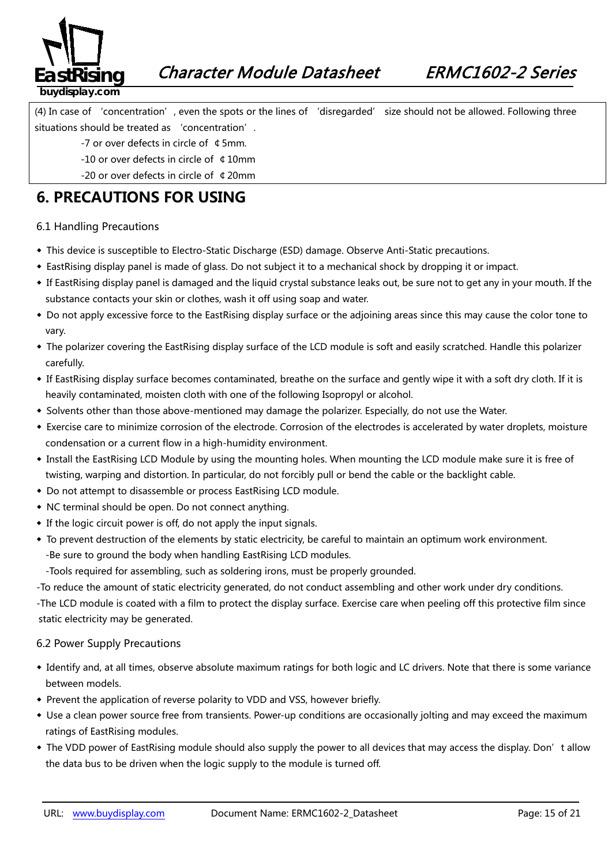

(4) In case of 'concentration', even the spots or the lines of 'disregarded' size should not be allowed. Following three situations should be treated as 'concentration'.

- -7 or over defects in circle of ¢5mm.
- -10 or over defects in circle of ¢10mm
- -20 or over defects in circle of ¢20mm

### **6. PRECAUTIONS FOR USING**

#### 6.1 Handling Precautions

- ◆ This device is susceptible to Electro-Static Discharge (ESD) damage. Observe Anti-Static precautions.
- ◆ EastRising display panel is made of glass. Do not subject it to a mechanical shock by dropping it or impact.
- ◆ If EastRising display panel is damaged and the liquid crystal substance leaks out, be sure not to get any in your mouth. If the substance contacts your skin or clothes, wash it off using soap and water.
- ◆ Do not apply excessive force to the EastRising display surface or the adjoining areas since this may cause the color tone to vary.
- ◆ The polarizer covering the EastRising display surface of the LCD module is soft and easily scratched. Handle this polarizer carefully.
- ◆ If EastRising display surface becomes contaminated, breathe on the surface and gently wipe it with a soft dry cloth. If it is heavily contaminated, moisten cloth with one of the following Isopropyl or alcohol.
- ◆ Solvents other than those above-mentioned may damage the polarizer. Especially, do not use the Water.
- ◆ Exercise care to minimize corrosion of the electrode. Corrosion of the electrodes is accelerated by water droplets, moisture condensation or a current flow in a high-humidity environment.
- ◆ Install the EastRising LCD Module by using the mounting holes. When mounting the LCD module make sure it is free of twisting, warping and distortion. In particular, do not forcibly pull or bend the cable or the backlight cable.
- ◆ Do not attempt to disassemble or process EastRising LCD module.
- ◆ NC terminal should be open. Do not connect anything.
- ◆ If the logic circuit power is off, do not apply the input signals.
- ◆ To prevent destruction of the elements by static electricity, be careful to maintain an optimum work environment. -Be sure to ground the body when handling EastRising LCD modules.

-Tools required for assembling, such as soldering irons, must be properly grounded.

-To reduce the amount of static electricity generated, do not conduct assembling and other work under dry conditions.

-The LCD module is coated with a film to protect the display surface. Exercise care when peeling off this protective film since static electricity may be generated.

#### 6.2 Power Supply Precautions

- *38B5246139B*◆ Identify and, at all times, observe absolute maximum ratings for both logic and LC drivers. Note that there is some variance between models.
- ◆ Prevent the application of reverse polarity to VDD and VSS, however briefly.
- ◆ Use a clean power source free from transients. Power-up conditions are occasionally jolting and may exceed the maximum ratings of EastRising modules.
- ◆ The VDD power of EastRising module should also supply the power to all devices that may access the display. Don't allow the data bus to be driven when the logic supply to the module is turned off.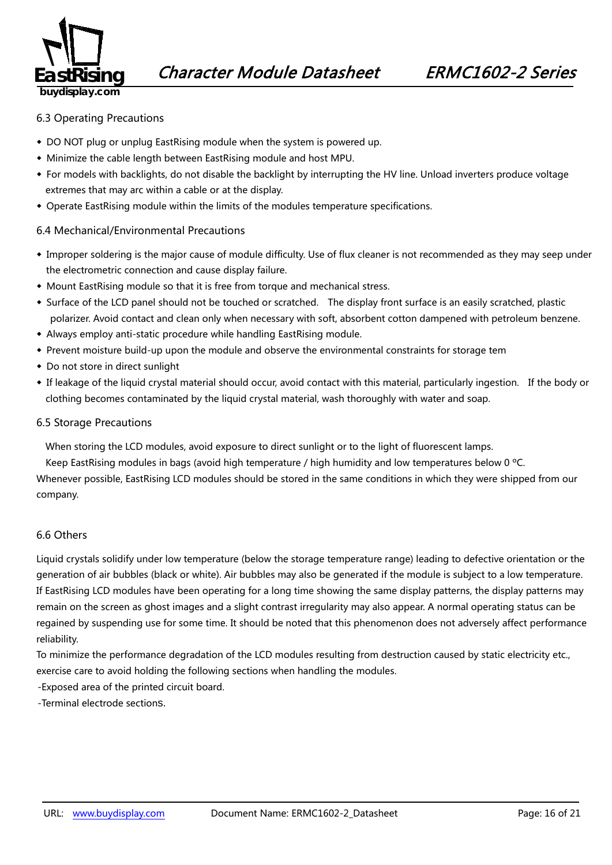

#### 6.3 Operating Precautions

- ◆ DO NOT plug or unplug EastRising module when the system is powered up.
- ◆ Minimize the cable length between EastRising module and host MPU.
- ◆ For models with backlights, do not disable the backlight by interrupting the HV line. Unload inverters produce voltage extremes that may arc within a cable or at the display.
- ◆ Operate EastRising module within the limits of the modules temperature specifications.

#### 6.4 Mechanical/Environmental Precautions

- ◆ Improper soldering is the major cause of module difficulty. Use of flux cleaner is not recommended as they may seep under the electrometric connection and cause display failure.
- ◆ Mount EastRising module so that it is free from torque and mechanical stress.
- ◆ Surface of the LCD panel should not be touched or scratched. The display front surface is an easily scratched, plastic polarizer. Avoid contact and clean only when necessary with soft, absorbent cotton dampened with petroleum benzene.
- ◆ Always employ anti-static procedure while handling EastRising module.
- ◆ Prevent moisture build-up upon the module and observe the environmental constraints for storage tem
- ◆ Do not store in direct sunlight
- ◆ If leakage of the liquid crystal material should occur, avoid contact with this material, particularly ingestion. If the body or clothing becomes contaminated by the liquid crystal material, wash thoroughly with water and soap.

#### 6.5 Storage Precautions

When storing the LCD modules, avoid exposure to direct sunlight or to the light of fluorescent lamps.

Keep EastRising modules in bags (avoid high temperature / high humidity and low temperatures below 0 ºC.

Whenever possible, EastRising LCD modules should be stored in the same conditions in which they were shipped from our company.

#### 6.6 Others

Liquid crystals solidify under low temperature (below the storage temperature range) leading to defective orientation or the generation of air bubbles (black or white). Air bubbles may also be generated if the module is subject to a low temperature. If EastRising LCD modules have been operating for a long time showing the same display patterns, the display patterns may remain on the screen as ghost images and a slight contrast irregularity may also appear. A normal operating status can be regained by suspending use for some time. It should be noted that this phenomenon does not adversely affect performance reliability.

To minimize the performance degradation of the LCD modules resulting from destruction caused by static electricity etc., exercise care to avoid holding the following sections when handling the modules.

-Exposed area of the printed circuit board.

-Terminal electrode sections.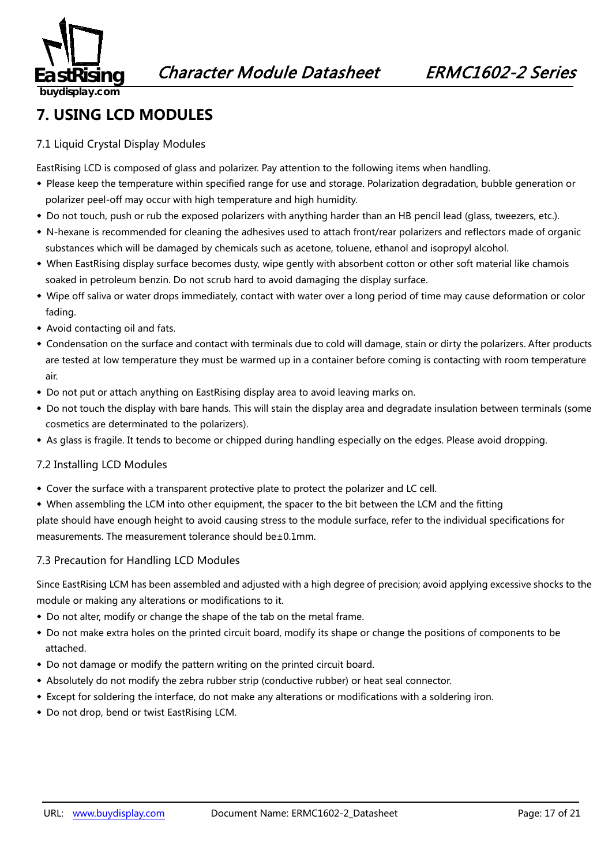

#### **7. USING LCD MODULES**

#### 7.1 Liquid Crystal Display Modules

EastRising LCD is composed of glass and polarizer. Pay attention to the following items when handling.

- ◆ Please keep the temperature within specified range for use and storage. Polarization degradation, bubble generation or polarizer peel-off may occur with high temperature and high humidity.
- ◆ Do not touch, push or rub the exposed polarizers with anything harder than an HB pencil lead (glass, tweezers, etc.).
- ◆ N-hexane is recommended for cleaning the adhesives used to attach front/rear polarizers and reflectors made of organic substances which will be damaged by chemicals such as acetone, toluene, ethanol and isopropyl alcohol.
- ◆ When EastRising display surface becomes dusty, wipe gently with absorbent cotton or other soft material like chamois soaked in petroleum benzin. Do not scrub hard to avoid damaging the display surface.
- ◆ Wipe off saliva or water drops immediately, contact with water over a long period of time may cause deformation or color fading.
- ◆ Avoid contacting oil and fats.
- ◆ Condensation on the surface and contact with terminals due to cold will damage, stain or dirty the polarizers. After products are tested at low temperature they must be warmed up in a container before coming is contacting with room temperature air.
- ◆ Do not put or attach anything on EastRising display area to avoid leaving marks on.
- ◆ Do not touch the display with bare hands. This will stain the display area and degradate insulation between terminals (some cosmetics are determinated to the polarizers).
- ◆ As glass is fragile. It tends to become or chipped during handling especially on the edges. Please avoid dropping.

#### 7.2 Installing LCD Modules

- ◆ Cover the surface with a transparent protective plate to protect the polarizer and LC cell.
- ◆ When assembling the LCM into other equipment, the spacer to the bit between the LCM and the fitting

plate should have enough height to avoid causing stress to the module surface, refer to the individual specifications for measurements. The measurement tolerance should be±0.1mm.

#### 7.3 Precaution for Handling LCD Modules

Since EastRising LCM has been assembled and adjusted with a high degree of precision; avoid applying excessive shocks to the module or making any alterations or modifications to it.

- ◆ Do not alter, modify or change the shape of the tab on the metal frame.
- ◆ Do not make extra holes on the printed circuit board, modify its shape or change the positions of components to be attached.
- ◆ Do not damage or modify the pattern writing on the printed circuit board.
- ◆ Absolutely do not modify the zebra rubber strip (conductive rubber) or heat seal connector.
- ◆ Except for soldering the interface, do not make any alterations or modifications with a soldering iron.
- ◆ Do not drop, bend or twist EastRising LCM.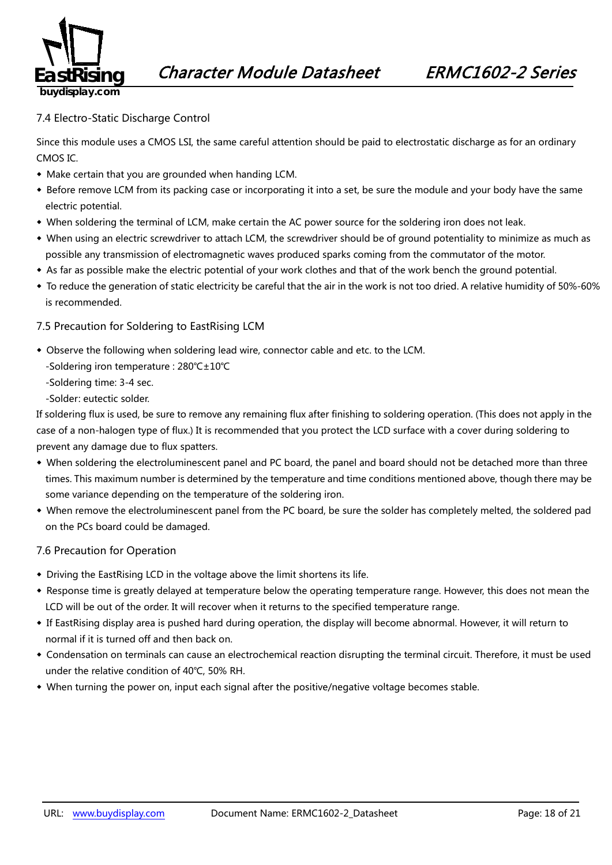

#### 7.4 Electro-Static Discharge Control

Since this module uses a CMOS LSI, the same careful attention should be paid to electrostatic discharge as for an ordinary CMOS IC.

- ◆ Make certain that you are grounded when handing LCM.
- ◆ Before remove LCM from its packing case or incorporating it into a set, be sure the module and your body have the same electric potential.
- ◆ When soldering the terminal of LCM, make certain the AC power source for the soldering iron does not leak.
- ◆ When using an electric screwdriver to attach LCM, the screwdriver should be of ground potentiality to minimize as much as possible any transmission of electromagnetic waves produced sparks coming from the commutator of the motor.
- ◆ As far as possible make the electric potential of your work clothes and that of the work bench the ground potential.
- ◆ To reduce the generation of static electricity be careful that the air in the work is not too dried. A relative humidity of 50%-60% is recommended.

#### 7.5 Precaution for Soldering to EastRising LCM

- ◆ Observe the following when soldering lead wire, connector cable and etc. to the LCM.
	- -Soldering iron temperature : 280℃±10℃
	- -Soldering time: 3-4 sec.
	- -Solder: eutectic solder.

If soldering flux is used, be sure to remove any remaining flux after finishing to soldering operation. (This does not apply in the case of a non-halogen type of flux.) It is recommended that you protect the LCD surface with a cover during soldering to prevent any damage due to flux spatters.

- ◆ When soldering the electroluminescent panel and PC board, the panel and board should not be detached more than three times. This maximum number is determined by the temperature and time conditions mentioned above, though there may be some variance depending on the temperature of the soldering iron.
- ◆ When remove the electroluminescent panel from the PC board, be sure the solder has completely melted, the soldered pad on the PCs board could be damaged.

#### 7.6 Precaution for Operation

- ◆ Driving the EastRising LCD in the voltage above the limit shortens its life.
- ◆ Response time is greatly delayed at temperature below the operating temperature range. However, this does not mean the LCD will be out of the order. It will recover when it returns to the specified temperature range.
- ◆ If EastRising display area is pushed hard during operation, the display will become abnormal. However, it will return to normal if it is turned off and then back on.
- ◆ Condensation on terminals can cause an electrochemical reaction disrupting the terminal circuit. Therefore, it must be used under the relative condition of 40℃, 50% RH.
- ◆ When turning the power on, input each signal after the positive/negative voltage becomes stable.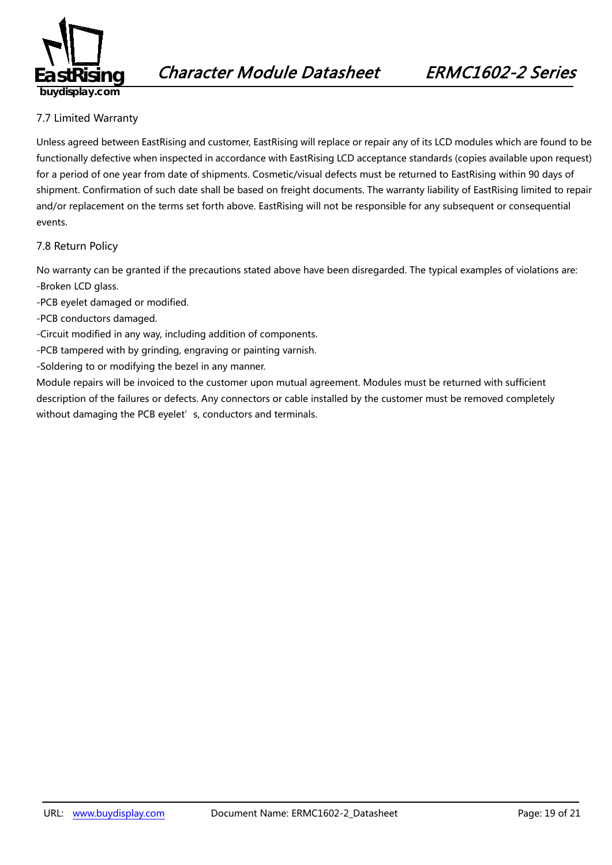

#### 7.7 Limited Warranty

*49B163*Unless agreed between EastRising and customer, EastRising will replace or repair any of its LCD modules which are found to be functionally defective when inspected in accordance with EastRising LCD acceptance standards (copies available upon request) for a period of one year from date of shipments. Cosmetic/visual defects must be returned to EastRising within 90 days of shipment. Confirmation of such date shall be based on freight documents. The warranty liability of EastRising limited to repair and/or replacement on the terms set forth above. EastRising will not be responsible for any subsequent or consequential events.

#### 7.8 Return Policy

*2B4196*No warranty can be granted if the precautions stated above have been disregarded. The typical examples of violations are: -Broken LCD glass.

- -PCB eyelet damaged or modified.
- -PCB conductors damaged.
- -Circuit modified in any way, including addition of components.
- -PCB tampered with by grinding, engraving or painting varnish.
- -Soldering to or modifying the bezel in any manner.

Module repairs will be invoiced to the customer upon mutual agreement. Modules must be returned with sufficient description of the failures or defects. Any connectors or cable installed by the customer must be removed completely without damaging the PCB eyelet's, conductors and terminals.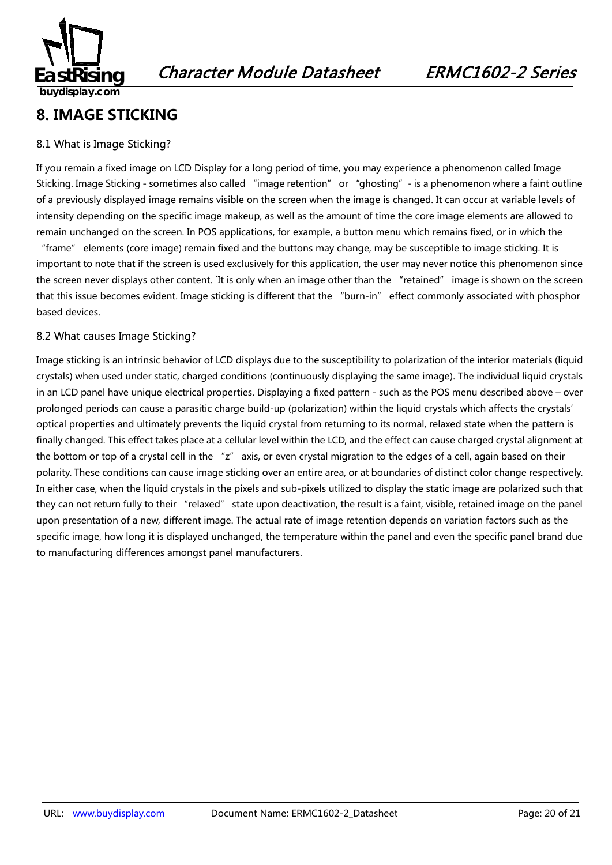

#### **8. IMAGE STICKING**

#### 8.1 What is Image Sticking?

If you remain a fixed image on LCD Display for a long period of time, you may experience a phenomenon called Image Sticking. Image Sticking - sometimes also called "image retention" or "ghosting" - is a phenomenon where a faint outline of a previously displayed image remains visible on the screen when the image is changed. It can occur at variable levels of intensity depending on the specific image makeup, as well as the amount of time the core image elements are allowed to remain unchanged on the screen. In POS applications, for example, a button menu which remains fixed, or in which the

"frame" elements (core image) remain fixed and the buttons may change, may be susceptible to image sticking. It is important to note that if the screen is used exclusively for this application, the user may never notice this phenomenon since the screen never displays other content. `It is only when an image other than the "retained" image is shown on the screen that this issue becomes evident. Image sticking is different that the "burn-in" effect commonly associated with phosphor based devices.

#### 8.2 What causes Image Sticking?

Image sticking is an intrinsic behavior of LCD displays due to the susceptibility to polarization of the interior materials (liquid crystals) when used under static, charged conditions (continuously displaying the same image). The individual liquid crystals in an LCD panel have unique electrical properties. Displaying a fixed pattern - such as the POS menu described above – over prolonged periods can cause a parasitic charge build-up (polarization) within the liquid crystals which affects the crystals' optical properties and ultimately prevents the liquid crystal from returning to its normal, relaxed state when the pattern is finally changed. This effect takes place at a cellular level within the LCD, and the effect can cause charged crystal alignment at the bottom or top of a crystal cell in the "z" axis, or even crystal migration to the edges of a cell, again based on their polarity. These conditions can cause image sticking over an entire area, or at boundaries of distinct color change respectively. In either case, when the liquid crystals in the pixels and sub-pixels utilized to display the static image are polarized such that they can not return fully to their "relaxed" state upon deactivation, the result is a faint, visible, retained image on the panel upon presentation of a new, different image. The actual rate of image retention depends on variation factors such as the specific image, how long it is displayed unchanged, the temperature within the panel and even the specific panel brand due to manufacturing differences amongst panel manufacturers.